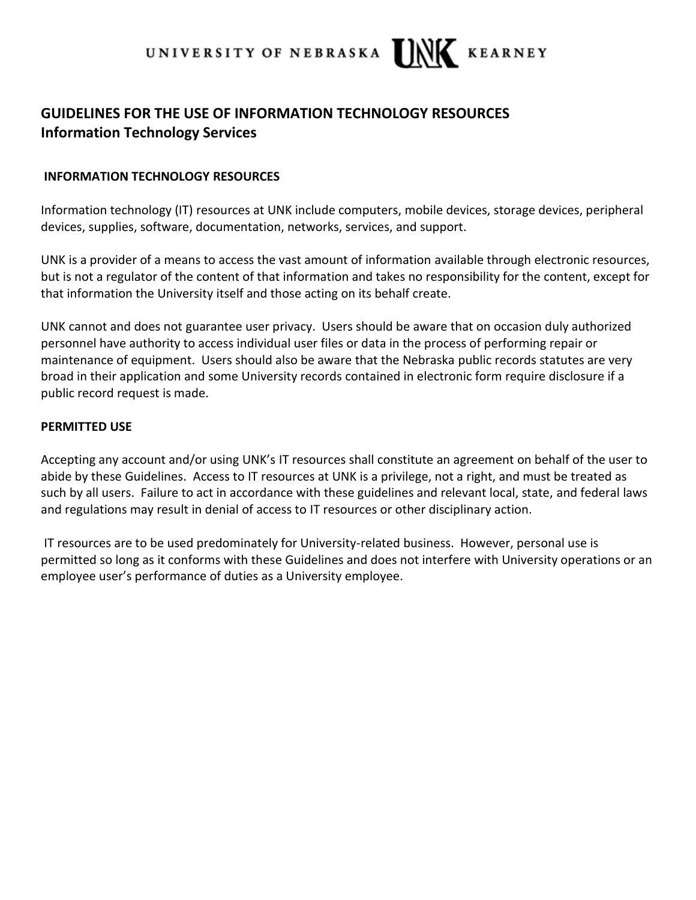

## **GUIDELINES FOR THE USE OF INFORMATION TECHNOLOGY RESOURCES Information Technology Services**

## **INFORMATION TECHNOLOGY RESOURCES**

Information technology (IT) resources at UNK include computers, mobile devices, storage devices, peripheral devices, supplies, software, documentation, networks, services, and support.

UNK is a provider of a means to access the vast amount of information available through electronic resources, but is not a regulator of the content of that information and takes no responsibility for the content, except for that information the University itself and those acting on its behalf create.

UNK cannot and does not guarantee user privacy. Users should be aware that on occasion duly authorized personnel have authority to access individual user files or data in the process of performing repair or maintenance of equipment. Users should also be aware that the Nebraska public records statutes are very broad in their application and some University records contained in electronic form require disclosure if a public record request is made.

## **PERMITTED USE**

Accepting any account and/or using UNK's IT resources shall constitute an agreement on behalf of the user to abide by these Guidelines. Access to IT resources at UNK is a privilege, not a right, and must be treated as such by all users. Failure to act in accordance with these guidelines and relevant local, state, and federal laws and regulations may result in denial of access to IT resources or other disciplinary action.

IT resources are to be used predominately for University-related business. However, personal use is permitted so long as it conforms with these Guidelines and does not interfere with University operations or an employee user's performance of duties as a University employee.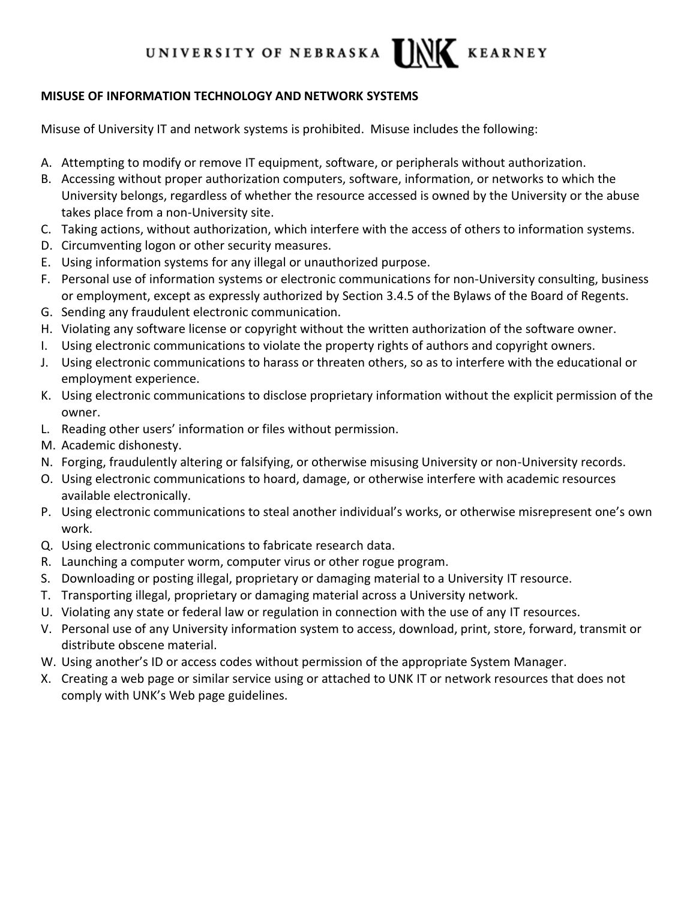#### LINK UNIVERSITY OF NEBRASKA **KEARNEY**

## **MISUSE OF INFORMATION TECHNOLOGY AND NETWORK SYSTEMS**

Misuse of University IT and network systems is prohibited. Misuse includes the following:

- A. Attempting to modify or remove IT equipment, software, or peripherals without authorization.
- B. Accessing without proper authorization computers, software, information, or networks to which the University belongs, regardless of whether the resource accessed is owned by the University or the abuse takes place from a non-University site.
- C. Taking actions, without authorization, which interfere with the access of others to information systems.
- D. Circumventing logon or other security measures.
- E. Using information systems for any illegal or unauthorized purpose.
- F. Personal use of information systems or electronic communications for non-University consulting, business or employment, except as expressly authorized by Section 3.4.5 of the Bylaws of the Board of Regents.
- G. Sending any fraudulent electronic communication.
- H. Violating any software license or copyright without the written authorization of the software owner.
- I. Using electronic communications to violate the property rights of authors and copyright owners.
- J. Using electronic communications to harass or threaten others, so as to interfere with the educational or employment experience.
- K. Using electronic communications to disclose proprietary information without the explicit permission of the owner.
- L. Reading other users' information or files without permission.
- M. Academic dishonesty.
- N. Forging, fraudulently altering or falsifying, or otherwise misusing University or non-University records.
- O. Using electronic communications to hoard, damage, or otherwise interfere with academic resources available electronically.
- P. Using electronic communications to steal another individual's works, or otherwise misrepresent one's own work.
- Q. Using electronic communications to fabricate research data.
- R. Launching a computer worm, computer virus or other rogue program.
- S. Downloading or posting illegal, proprietary or damaging material to a University IT resource.
- T. Transporting illegal, proprietary or damaging material across a University network.
- U. Violating any state or federal law or regulation in connection with the use of any IT resources.
- V. Personal use of any University information system to access, download, print, store, forward, transmit or distribute obscene material.
- W. Using another's ID or access codes without permission of the appropriate System Manager.
- X. Creating a web page or similar service using or attached to UNK IT or network resources that does not comply with UNK's Web page guidelines.